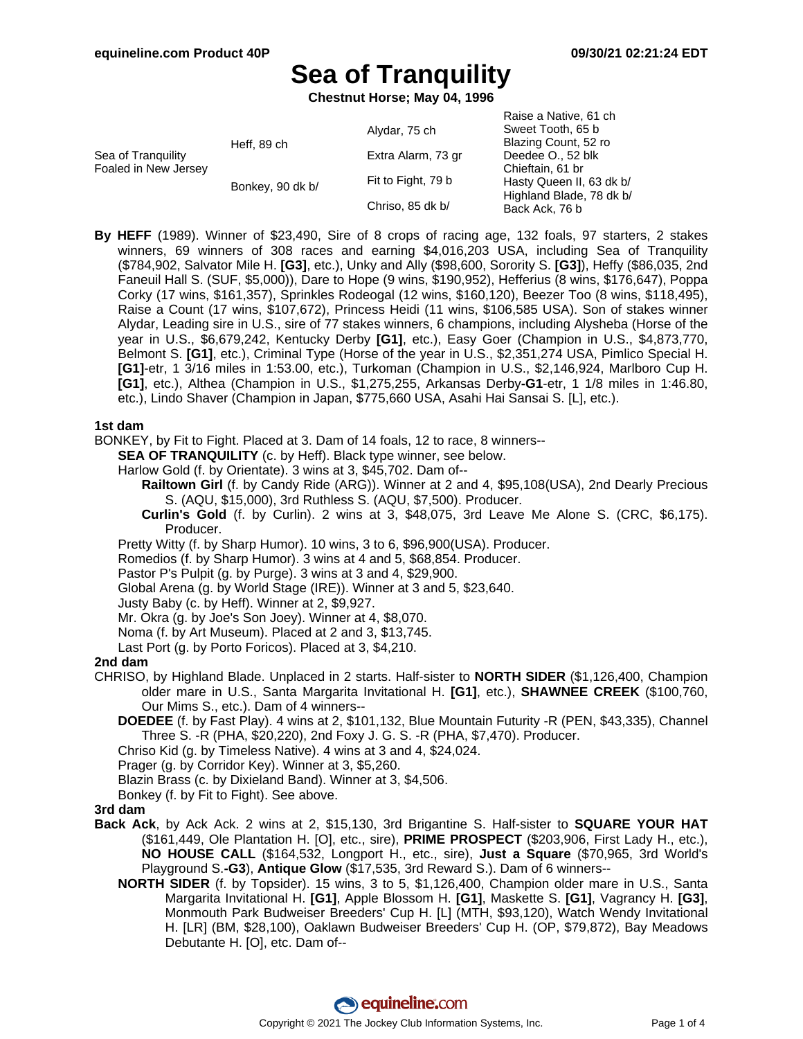Raise a Native, 61 ch

# **Sea of Tranquility**

**Chestnut Horse; May 04, 1996**

|                                            |                  |                    | Naise a Native, UT UIT                     |
|--------------------------------------------|------------------|--------------------|--------------------------------------------|
| Sea of Tranguility<br>Foaled in New Jersey | Heff, 89 ch      | Alydar, 75 ch      | Sweet Tooth, 65 b                          |
|                                            |                  |                    | Blazing Count, 52 ro                       |
|                                            |                  | Extra Alarm, 73 gr | Deedee O., 52 blk                          |
|                                            | Bonkey, 90 dk b/ |                    | Chieftain, 61 br                           |
|                                            |                  | Fit to Fight, 79 b | Hasty Queen II, 63 dk b/                   |
|                                            |                  |                    | Highland Blade, 78 dk b/<br>Back Ack, 76 b |
|                                            |                  | Chriso, 85 dk b/   |                                            |
|                                            |                  |                    |                                            |

**By HEFF** (1989). Winner of \$23,490, Sire of 8 crops of racing age, 132 foals, 97 starters, 2 stakes winners, 69 winners of 308 races and earning \$4,016,203 USA, including Sea of Tranquility (\$784,902, Salvator Mile H. **[G3]**, etc.), Unky and Ally (\$98,600, Sorority S. **[G3]**), Heffy (\$86,035, 2nd Faneuil Hall S. (SUF, \$5,000)), Dare to Hope (9 wins, \$190,952), Hefferius (8 wins, \$176,647), Poppa Corky (17 wins, \$161,357), Sprinkles Rodeogal (12 wins, \$160,120), Beezer Too (8 wins, \$118,495), Raise a Count (17 wins, \$107,672), Princess Heidi (11 wins, \$106,585 USA). Son of stakes winner Alydar, Leading sire in U.S., sire of 77 stakes winners, 6 champions, including Alysheba (Horse of the year in U.S., \$6,679,242, Kentucky Derby **[G1]**, etc.), Easy Goer (Champion in U.S., \$4,873,770, Belmont S. **[G1]**, etc.), Criminal Type (Horse of the year in U.S., \$2,351,274 USA, Pimlico Special H. **[G1]**-etr, 1 3/16 miles in 1:53.00, etc.), Turkoman (Champion in U.S., \$2,146,924, Marlboro Cup H. **[G1]**, etc.), Althea (Champion in U.S., \$1,275,255, Arkansas Derby**-G1**-etr, 1 1/8 miles in 1:46.80, etc.), Lindo Shaver (Champion in Japan, \$775,660 USA, Asahi Hai Sansai S. [L], etc.).

#### **1st dam**

- BONKEY, by Fit to Fight. Placed at 3. Dam of 14 foals, 12 to race, 8 winners--
	- **SEA OF TRANQUILITY** (c. by Heff). Black type winner, see below.
	- Harlow Gold (f. by Orientate). 3 wins at 3, \$45,702. Dam of--
		- **Railtown Girl** (f. by Candy Ride (ARG)). Winner at 2 and 4, \$95,108(USA), 2nd Dearly Precious S. (AQU, \$15,000), 3rd Ruthless S. (AQU, \$7,500). Producer.
		- **Curlin's Gold** (f. by Curlin). 2 wins at 3, \$48,075, 3rd Leave Me Alone S. (CRC, \$6,175). Producer.
	- Pretty Witty (f. by Sharp Humor). 10 wins, 3 to 6, \$96,900(USA). Producer.
	- Romedios (f. by Sharp Humor). 3 wins at 4 and 5, \$68,854. Producer.
	- Pastor P's Pulpit (g. by Purge). 3 wins at 3 and 4, \$29,900.
	- Global Arena (g. by World Stage (IRE)). Winner at 3 and 5, \$23,640.
	- Justy Baby (c. by Heff). Winner at 2, \$9,927.
	- Mr. Okra (g. by Joe's Son Joey). Winner at 4, \$8,070.
	- Noma (f. by Art Museum). Placed at 2 and 3, \$13,745.
	- Last Port (g. by Porto Foricos). Placed at 3, \$4,210.

#### **2nd dam**

- CHRISO, by Highland Blade. Unplaced in 2 starts. Half-sister to **NORTH SIDER** (\$1,126,400, Champion older mare in U.S., Santa Margarita Invitational H. **[G1]**, etc.), **SHAWNEE CREEK** (\$100,760, Our Mims S., etc.). Dam of 4 winners--
	- **DOEDEE** (f. by Fast Play). 4 wins at 2, \$101,132, Blue Mountain Futurity -R (PEN, \$43,335), Channel Three S. -R (PHA, \$20,220), 2nd Foxy J. G. S. -R (PHA, \$7,470). Producer.
	- Chriso Kid (g. by Timeless Native). 4 wins at 3 and 4, \$24,024.
	- Prager (g. by Corridor Key). Winner at 3, \$5,260.
	- Blazin Brass (c. by Dixieland Band). Winner at 3, \$4,506.
	- Bonkey (f. by Fit to Fight). See above.

#### **3rd dam**

- **Back Ack**, by Ack Ack. 2 wins at 2, \$15,130, 3rd Brigantine S. Half-sister to **SQUARE YOUR HAT** (\$161,449, Ole Plantation H. [O], etc., sire), **PRIME PROSPECT** (\$203,906, First Lady H., etc.), **NO HOUSE CALL** (\$164,532, Longport H., etc., sire), **Just a Square** (\$70,965, 3rd World's Playground S.**-G3**), **Antique Glow** (\$17,535, 3rd Reward S.). Dam of 6 winners--
	- **NORTH SIDER** (f. by Topsider). 15 wins, 3 to 5, \$1,126,400, Champion older mare in U.S., Santa Margarita Invitational H. **[G1]**, Apple Blossom H. **[G1]**, Maskette S. **[G1]**, Vagrancy H. **[G3]**, Monmouth Park Budweiser Breeders' Cup H. [L] (MTH, \$93,120), Watch Wendy Invitational H. [LR] (BM, \$28,100), Oaklawn Budweiser Breeders' Cup H. (OP, \$79,872), Bay Meadows Debutante H. [O], etc. Dam of--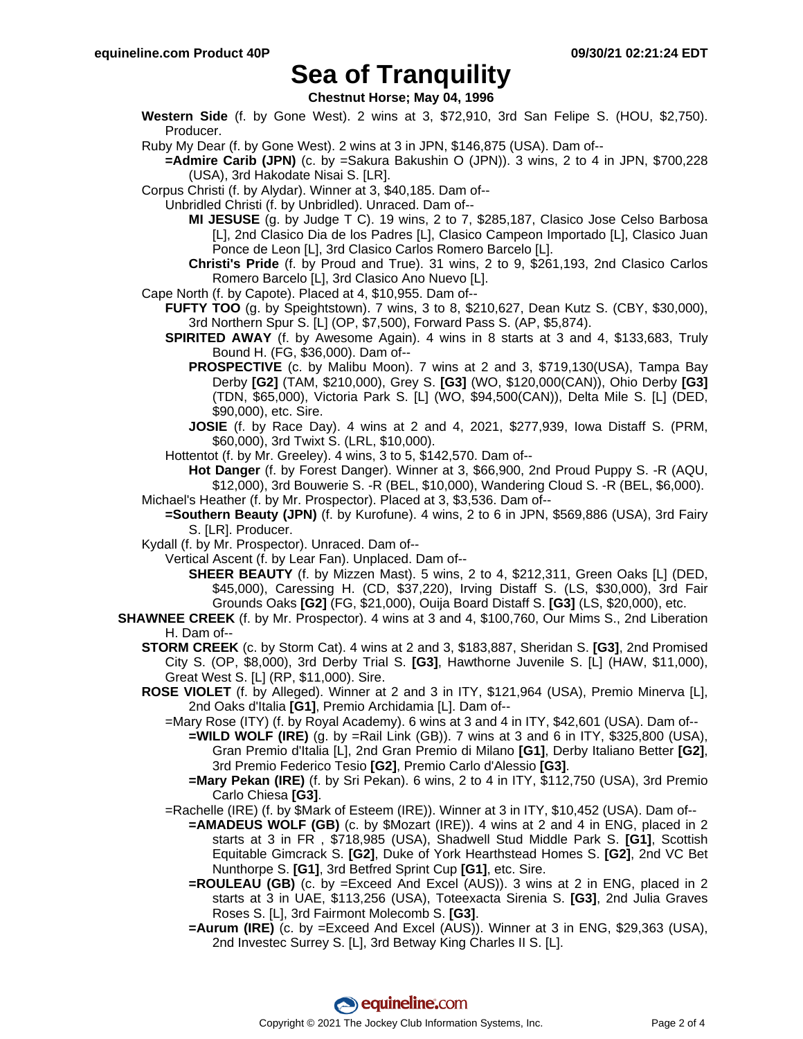### **Sea of Tranquility**

**Chestnut Horse; May 04, 1996**

**Western Side** (f. by Gone West). 2 wins at 3, \$72,910, 3rd San Felipe S. (HOU, \$2,750). Producer.

Ruby My Dear (f. by Gone West). 2 wins at 3 in JPN, \$146,875 (USA). Dam of--

- **=Admire Carib (JPN)** (c. by =Sakura Bakushin O (JPN)). 3 wins, 2 to 4 in JPN, \$700,228 (USA), 3rd Hakodate Nisai S. [LR].
- Corpus Christi (f. by Alydar). Winner at 3, \$40,185. Dam of--
- Unbridled Christi (f. by Unbridled). Unraced. Dam of--
	- **MI JESUSE** (g. by Judge T C). 19 wins, 2 to 7, \$285,187, Clasico Jose Celso Barbosa [L], 2nd Clasico Dia de los Padres [L], Clasico Campeon Importado [L], Clasico Juan Ponce de Leon [L], 3rd Clasico Carlos Romero Barcelo [L].
	- **Christi's Pride** (f. by Proud and True). 31 wins, 2 to 9, \$261,193, 2nd Clasico Carlos Romero Barcelo [L], 3rd Clasico Ano Nuevo [L].
- Cape North (f. by Capote). Placed at 4, \$10,955. Dam of--
	- **FUFTY TOO** (g. by Speightstown). 7 wins, 3 to 8, \$210,627, Dean Kutz S. (CBY, \$30,000), 3rd Northern Spur S. [L] (OP, \$7,500), Forward Pass S. (AP, \$5,874).
		- **SPIRITED AWAY** (f. by Awesome Again). 4 wins in 8 starts at 3 and 4, \$133,683, Truly Bound H. (FG, \$36,000). Dam of--
			- **PROSPECTIVE** (c. by Malibu Moon). 7 wins at 2 and 3, \$719,130(USA), Tampa Bay Derby **[G2]** (TAM, \$210,000), Grey S. **[G3]** (WO, \$120,000(CAN)), Ohio Derby **[G3]** (TDN, \$65,000), Victoria Park S. [L] (WO, \$94,500(CAN)), Delta Mile S. [L] (DED, \$90,000), etc. Sire.
			- **JOSIE** (f. by Race Day). 4 wins at 2 and 4, 2021, \$277,939, Iowa Distaff S. (PRM, \$60,000), 3rd Twixt S. (LRL, \$10,000).
		- Hottentot (f. by Mr. Greeley). 4 wins, 3 to 5, \$142,570. Dam of--

**Hot Danger** (f. by Forest Danger). Winner at 3, \$66,900, 2nd Proud Puppy S. -R (AQU, \$12,000), 3rd Bouwerie S. -R (BEL, \$10,000), Wandering Cloud S. -R (BEL, \$6,000). Michael's Heather (f. by Mr. Prospector). Placed at 3, \$3,536. Dam of--

- **=Southern Beauty (JPN)** (f. by Kurofune). 4 wins, 2 to 6 in JPN, \$569,886 (USA), 3rd Fairy
	- S. [LR]. Producer.
- Kydall (f. by Mr. Prospector). Unraced. Dam of--
	- Vertical Ascent (f. by Lear Fan). Unplaced. Dam of--
		- **SHEER BEAUTY** (f. by Mizzen Mast). 5 wins, 2 to 4, \$212,311, Green Oaks [L] (DED, \$45,000), Caressing H. (CD, \$37,220), Irving Distaff S. (LS, \$30,000), 3rd Fair Grounds Oaks **[G2]** (FG, \$21,000), Ouija Board Distaff S. **[G3]** (LS, \$20,000), etc.
- **SHAWNEE CREEK** (f. by Mr. Prospector). 4 wins at 3 and 4, \$100,760, Our Mims S., 2nd Liberation H. Dam of--
	- **STORM CREEK** (c. by Storm Cat). 4 wins at 2 and 3, \$183,887, Sheridan S. **[G3]**, 2nd Promised City S. (OP, \$8,000), 3rd Derby Trial S. **[G3]**, Hawthorne Juvenile S. [L] (HAW, \$11,000), Great West S. [L] (RP, \$11,000). Sire.
	- **ROSE VIOLET** (f. by Alleged). Winner at 2 and 3 in ITY, \$121,964 (USA), Premio Minerva [L], 2nd Oaks d'Italia **[G1]**, Premio Archidamia [L]. Dam of--
		- =Mary Rose (ITY) (f. by Royal Academy). 6 wins at 3 and 4 in ITY, \$42,601 (USA). Dam of--
			- **=WILD WOLF (IRE)** (g. by =Rail Link (GB)). 7 wins at 3 and 6 in ITY, \$325,800 (USA), Gran Premio d'Italia [L], 2nd Gran Premio di Milano **[G1]**, Derby Italiano Better **[G2]**, 3rd Premio Federico Tesio **[G2]**, Premio Carlo d'Alessio **[G3]**.
			- **=Mary Pekan (IRE)** (f. by Sri Pekan). 6 wins, 2 to 4 in ITY, \$112,750 (USA), 3rd Premio Carlo Chiesa **[G3]**.
		- =Rachelle (IRE) (f. by \$Mark of Esteem (IRE)). Winner at 3 in ITY, \$10,452 (USA). Dam of--
			- **=AMADEUS WOLF (GB)** (c. by \$Mozart (IRE)). 4 wins at 2 and 4 in ENG, placed in 2 starts at 3 in FR , \$718,985 (USA), Shadwell Stud Middle Park S. **[G1]**, Scottish Equitable Gimcrack S. **[G2]**, Duke of York Hearthstead Homes S. **[G2]**, 2nd VC Bet Nunthorpe S. **[G1]**, 3rd Betfred Sprint Cup **[G1]**, etc. Sire.
			- **=ROULEAU (GB)** (c. by =Exceed And Excel (AUS)). 3 wins at 2 in ENG, placed in 2 starts at 3 in UAE, \$113,256 (USA), Toteexacta Sirenia S. **[G3]**, 2nd Julia Graves Roses S. [L], 3rd Fairmont Molecomb S. **[G3]**.
			- **=Aurum (IRE)** (c. by =Exceed And Excel (AUS)). Winner at 3 in ENG, \$29,363 (USA), 2nd Investec Surrey S. [L], 3rd Betway King Charles II S. [L].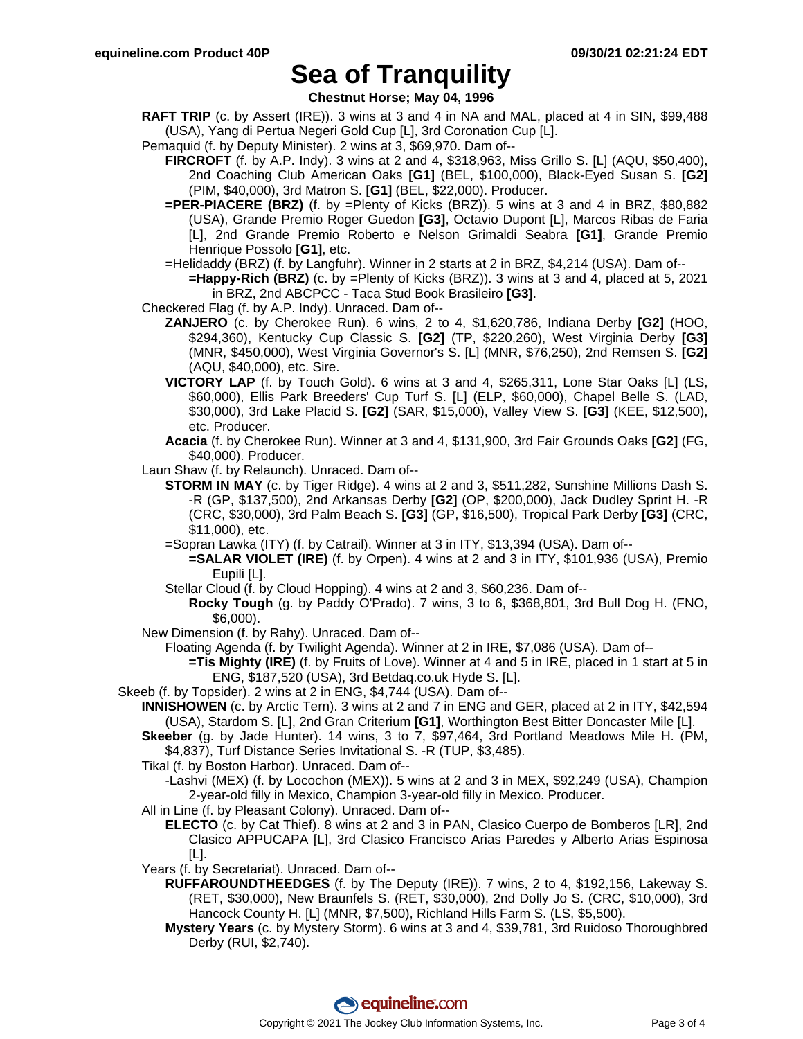## **Sea of Tranquility**

**Chestnut Horse; May 04, 1996**

- **RAFT TRIP** (c. by Assert (IRE)). 3 wins at 3 and 4 in NA and MAL, placed at 4 in SIN, \$99,488 (USA), Yang di Pertua Negeri Gold Cup [L], 3rd Coronation Cup [L].
- Pemaquid (f. by Deputy Minister). 2 wins at 3, \$69,970. Dam of--
	- **FIRCROFT** (f. by A.P. Indy). 3 wins at 2 and 4, \$318,963, Miss Grillo S. [L] (AQU, \$50,400), 2nd Coaching Club American Oaks **[G1]** (BEL, \$100,000), Black-Eyed Susan S. **[G2]** (PIM, \$40,000), 3rd Matron S. **[G1]** (BEL, \$22,000). Producer.
	- **=PER-PIACERE (BRZ)** (f. by =Plenty of Kicks (BRZ)). 5 wins at 3 and 4 in BRZ, \$80,882 (USA), Grande Premio Roger Guedon **[G3]**, Octavio Dupont [L], Marcos Ribas de Faria [L], 2nd Grande Premio Roberto e Nelson Grimaldi Seabra **[G1]**, Grande Premio Henrique Possolo **[G1]**, etc.
	- =Helidaddy (BRZ) (f. by Langfuhr). Winner in 2 starts at 2 in BRZ, \$4,214 (USA). Dam of--
		- **=Happy-Rich (BRZ)** (c. by =Plenty of Kicks (BRZ)). 3 wins at 3 and 4, placed at 5, 2021 in BRZ, 2nd ABCPCC - Taca Stud Book Brasileiro **[G3]**.
- Checkered Flag (f. by A.P. Indy). Unraced. Dam of--
	- **ZANJERO** (c. by Cherokee Run). 6 wins, 2 to 4, \$1,620,786, Indiana Derby **[G2]** (HOO, \$294,360), Kentucky Cup Classic S. **[G2]** (TP, \$220,260), West Virginia Derby **[G3]** (MNR, \$450,000), West Virginia Governor's S. [L] (MNR, \$76,250), 2nd Remsen S. **[G2]** (AQU, \$40,000), etc. Sire.
	- **VICTORY LAP** (f. by Touch Gold). 6 wins at 3 and 4, \$265,311, Lone Star Oaks [L] (LS, \$60,000), Ellis Park Breeders' Cup Turf S. [L] (ELP, \$60,000), Chapel Belle S. (LAD, \$30,000), 3rd Lake Placid S. **[G2]** (SAR, \$15,000), Valley View S. **[G3]** (KEE, \$12,500), etc. Producer.
	- **Acacia** (f. by Cherokee Run). Winner at 3 and 4, \$131,900, 3rd Fair Grounds Oaks **[G2]** (FG, \$40,000). Producer.
- Laun Shaw (f. by Relaunch). Unraced. Dam of--
	- **STORM IN MAY** (c. by Tiger Ridge). 4 wins at 2 and 3, \$511,282, Sunshine Millions Dash S. -R (GP, \$137,500), 2nd Arkansas Derby **[G2]** (OP, \$200,000), Jack Dudley Sprint H. -R (CRC, \$30,000), 3rd Palm Beach S. **[G3]** (GP, \$16,500), Tropical Park Derby **[G3]** (CRC, \$11,000), etc.
		- =Sopran Lawka (ITY) (f. by Catrail). Winner at 3 in ITY, \$13,394 (USA). Dam of--
			- **=SALAR VIOLET (IRE)** (f. by Orpen). 4 wins at 2 and 3 in ITY, \$101,936 (USA), Premio Eupili [L].
		- Stellar Cloud (f. by Cloud Hopping). 4 wins at 2 and 3, \$60,236. Dam of--
			- **Rocky Tough** (g. by Paddy O'Prado). 7 wins, 3 to 6, \$368,801, 3rd Bull Dog H. (FNO, \$6,000).
- New Dimension (f. by Rahy). Unraced. Dam of--
	- Floating Agenda (f. by Twilight Agenda). Winner at 2 in IRE, \$7,086 (USA). Dam of--
		- **=Tis Mighty (IRE)** (f. by Fruits of Love). Winner at 4 and 5 in IRE, placed in 1 start at 5 in ENG, \$187,520 (USA), 3rd Betdaq.co.uk Hyde S. [L].
- Skeeb (f. by Topsider). 2 wins at 2 in ENG, \$4,744 (USA). Dam of--
	- **INNISHOWEN** (c. by Arctic Tern). 3 wins at 2 and 7 in ENG and GER, placed at 2 in ITY, \$42,594 (USA), Stardom S. [L], 2nd Gran Criterium **[G1]**, Worthington Best Bitter Doncaster Mile [L].
	- **Skeeber** (g. by Jade Hunter). 14 wins, 3 to 7, \$97,464, 3rd Portland Meadows Mile H. (PM, \$4,837), Turf Distance Series Invitational S. -R (TUP, \$3,485).
	- Tikal (f. by Boston Harbor). Unraced. Dam of--
		- -Lashvi (MEX) (f. by Locochon (MEX)). 5 wins at 2 and 3 in MEX, \$92,249 (USA), Champion 2-year-old filly in Mexico, Champion 3-year-old filly in Mexico. Producer.
	- All in Line (f. by Pleasant Colony). Unraced. Dam of--
		- **ELECTO** (c. by Cat Thief). 8 wins at 2 and 3 in PAN, Clasico Cuerpo de Bomberos [LR], 2nd Clasico APPUCAPA [L], 3rd Clasico Francisco Arias Paredes y Alberto Arias Espinosa [L].
	- Years (f. by Secretariat). Unraced. Dam of--
		- **RUFFAROUNDTHEEDGES** (f. by The Deputy (IRE)). 7 wins, 2 to 4, \$192,156, Lakeway S. (RET, \$30,000), New Braunfels S. (RET, \$30,000), 2nd Dolly Jo S. (CRC, \$10,000), 3rd Hancock County H. [L] (MNR, \$7,500), Richland Hills Farm S. (LS, \$5,500).
		- **Mystery Years** (c. by Mystery Storm). 6 wins at 3 and 4, \$39,781, 3rd Ruidoso Thoroughbred Derby (RUI, \$2,740).